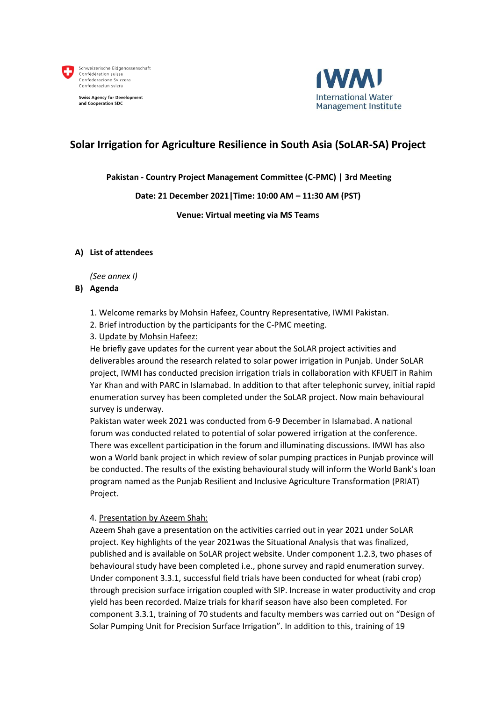

**Swiss Agency for Development** and Cooperation SDC



## **Solar Irrigation for Agriculture Resilience in South Asia (SoLAR-SA) Project**

## **Pakistan - Country Project Management Committee (C-PMC) | 3rd Meeting**

### **Date: 21 December 2021|Time: 10:00 AM – 11:30 AM (PST)**

#### **Venue: Virtual meeting via MS Teams**

#### **A) List of attendees**

#### *(See annex I)*

#### **B) Agenda**

- 1. Welcome remarks by Mohsin Hafeez, Country Representative, IWMI Pakistan.
- 2. Brief introduction by the participants for the C-PMC meeting.
- 3. Update by Mohsin Hafeez:

He briefly gave updates for the current year about the SoLAR project activities and deliverables around the research related to solar power irrigation in Punjab. Under SoLAR project, IWMI has conducted precision irrigation trials in collaboration with KFUEIT in Rahim Yar Khan and with PARC in Islamabad. In addition to that after telephonic survey, initial rapid enumeration survey has been completed under the SoLAR project. Now main behavioural survey is underway.

Pakistan water week 2021 was conducted from 6-9 December in Islamabad. A national forum was conducted related to potential of solar powered irrigation at the conference. There was excellent participation in the forum and illuminating discussions. IMWI has also won a World bank project in which review of solar pumping practices in Punjab province will be conducted. The results of the existing behavioural study will inform the World Bank's loan program named as the Punjab Resilient and Inclusive Agriculture Transformation (PRIAT) Project.

#### 4. Presentation by Azeem Shah:

Azeem Shah gave a presentation on the activities carried out in year 2021 under SoLAR project. Key highlights of the year 2021was the Situational Analysis that was finalized, published and is available on SoLAR project website. Under component 1.2.3, two phases of behavioural study have been completed i.e., phone survey and rapid enumeration survey. Under component 3.3.1, successful field trials have been conducted for wheat (rabi crop) through precision surface irrigation coupled with SIP. Increase in water productivity and crop yield has been recorded. Maize trials for kharif season have also been completed. For component 3.3.1, training of 70 students and faculty members was carried out on "Design of Solar Pumping Unit for Precision Surface Irrigation". In addition to this, training of 19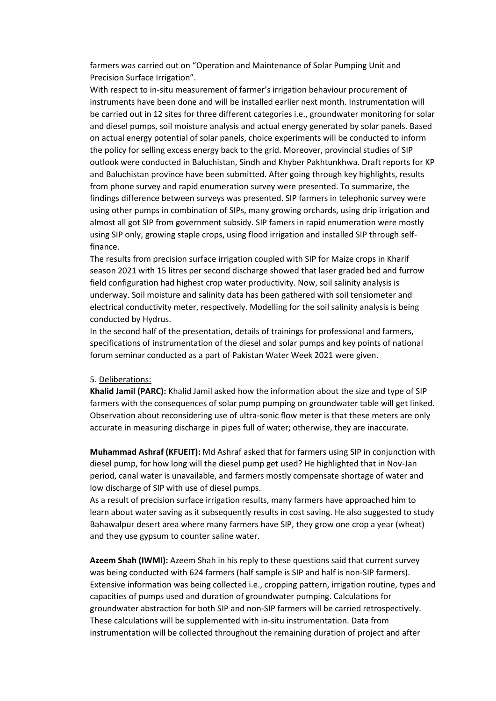farmers was carried out on "Operation and Maintenance of Solar Pumping Unit and Precision Surface Irrigation".

With respect to in-situ measurement of farmer's irrigation behaviour procurement of instruments have been done and will be installed earlier next month. Instrumentation will be carried out in 12 sites for three different categories i.e., groundwater monitoring for solar and diesel pumps, soil moisture analysis and actual energy generated by solar panels. Based on actual energy potential of solar panels, choice experiments will be conducted to inform the policy for selling excess energy back to the grid. Moreover, provincial studies of SIP outlook were conducted in Baluchistan, Sindh and Khyber Pakhtunkhwa. Draft reports for KP and Baluchistan province have been submitted. After going through key highlights, results from phone survey and rapid enumeration survey were presented. To summarize, the findings difference between surveys was presented. SIP farmers in telephonic survey were using other pumps in combination of SIPs, many growing orchards, using drip irrigation and almost all got SIP from government subsidy. SIP famers in rapid enumeration were mostly using SIP only, growing staple crops, using flood irrigation and installed SIP through selffinance.

The results from precision surface irrigation coupled with SIP for Maize crops in Kharif season 2021 with 15 litres per second discharge showed that laser graded bed and furrow field configuration had highest crop water productivity. Now, soil salinity analysis is underway. Soil moisture and salinity data has been gathered with soil tensiometer and electrical conductivity meter, respectively. Modelling for the soil salinity analysis is being conducted by Hydrus.

In the second half of the presentation, details of trainings for professional and farmers, specifications of instrumentation of the diesel and solar pumps and key points of national forum seminar conducted as a part of Pakistan Water Week 2021 were given.

#### 5. Deliberations:

**Khalid Jamil (PARC):** Khalid Jamil asked how the information about the size and type of SIP farmers with the consequences of solar pump pumping on groundwater table will get linked. Observation about reconsidering use of ultra-sonic flow meter is that these meters are only accurate in measuring discharge in pipes full of water; otherwise, they are inaccurate.

**Muhammad Ashraf (KFUEIT):** Md Ashraf asked that for farmers using SIP in conjunction with diesel pump, for how long will the diesel pump get used? He highlighted that in Nov-Jan period, canal water is unavailable, and farmers mostly compensate shortage of water and low discharge of SIP with use of diesel pumps.

As a result of precision surface irrigation results, many farmers have approached him to learn about water saving as it subsequently results in cost saving. He also suggested to study Bahawalpur desert area where many farmers have SIP, they grow one crop a year (wheat) and they use gypsum to counter saline water.

**Azeem Shah (IWMI):** Azeem Shah in his reply to these questions said that current survey was being conducted with 624 farmers (half sample is SIP and half is non-SIP farmers). Extensive information was being collected i.e., cropping pattern, irrigation routine, types and capacities of pumps used and duration of groundwater pumping. Calculations for groundwater abstraction for both SIP and non-SIP farmers will be carried retrospectively. These calculations will be supplemented with in-situ instrumentation. Data from instrumentation will be collected throughout the remaining duration of project and after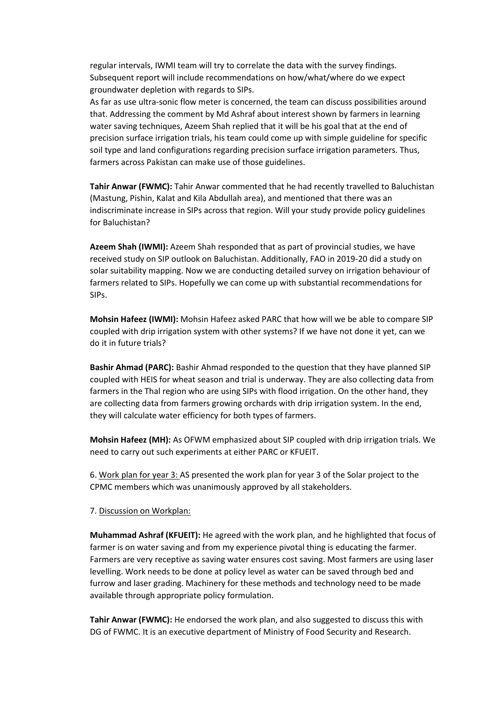regular intervals, IWMI team will try to correlate the data with the survey findings. Subsequent report will include recommendations on how/what/where do we expect groundwater depletion with regards to SIPs.

As far as use ultra-sonic flow meter is concerned, the team can discuss possibilities around that. Addressing the comment by Md Ashraf about interest shown by farmers in learning water saving techniques, Azeem Shah replied that it will be his goal that at the end of precision surface irrigation trials, his team could come up with simple guideline for specific soil type and land configurations regarding precision surface irrigation parameters. Thus, farmers across Pakistan can make use of those guidelines.

**Tahir Anwar (FWMC):** Tahir Anwar commented that he had recently travelled to Baluchistan (Mastung, Pishin, Kalat and Kila Abdullah area), and mentioned that there was an indiscriminate increase in SIPs across that region. Will your study provide policy guidelines for Baluchistan?

**Azeem Shah (IWMI):** Azeem Shah responded that as part of provincial studies, we have received study on SIP outlook on Baluchistan. Additionally, FAO in 2019-20 did a study on solar suitability mapping. Now we are conducting detailed survey on irrigation behaviour of farmers related to SIPs. Hopefully we can come up with substantial recommendations for SIPs.

**Mohsin Hafeez (IWMI):** Mohsin Hafeez asked PARC that how will we be able to compare SIP coupled with drip irrigation system with other systems? If we have not done it yet, can we do it in future trials?

**Bashir Ahmad (PARC):** Bashir Ahmad responded to the question that they have planned SIP coupled with HEIS for wheat season and trial is underway. They are also collecting data from farmers in the Thal region who are using SIPs with flood irrigation. On the other hand, they are collecting data from farmers growing orchards with drip irrigation system. In the end, they will calculate water efficiency for both types of farmers.

**Mohsin Hafeez (MH):** As OFWM emphasized about SIP coupled with drip irrigation trials. We need to carry out such experiments at either PARC or KFUEIT.

6. Work plan for year 3: AS presented the work plan for year 3 of the Solar project to the CPMC members which was unanimously approved by all stakeholders.

#### 7. Discussion on Workplan:

**Muhammad Ashraf (KFUEIT):** He agreed with the work plan, and he highlighted that focus of farmer is on water saving and from my experience pivotal thing is educating the farmer. Farmers are very receptive as saving water ensures cost saving. Most farmers are using laser levelling. Work needs to be done at policy level as water can be saved through bed and furrow and laser grading. Machinery for these methods and technology need to be made available through appropriate policy formulation.

**Tahir Anwar (FWMC):** He endorsed the work plan, and also suggested to discuss this with DG of FWMC. It is an executive department of Ministry of Food Security and Research.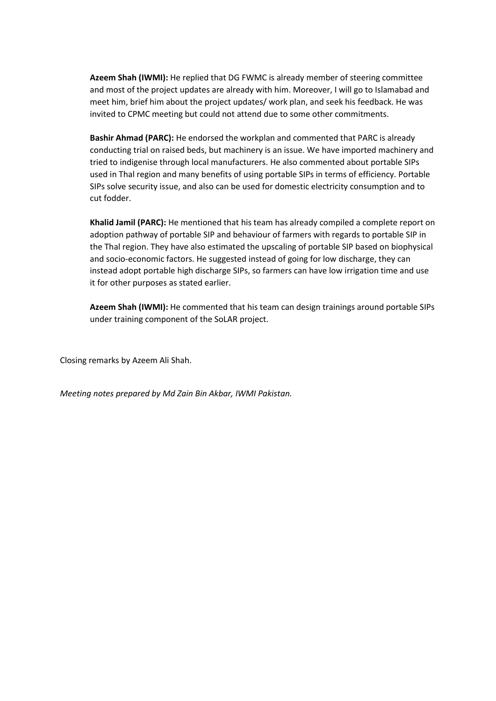**Azeem Shah (IWMI):** He replied that DG FWMC is already member of steering committee and most of the project updates are already with him. Moreover, I will go to Islamabad and meet him, brief him about the project updates/ work plan, and seek his feedback. He was invited to CPMC meeting but could not attend due to some other commitments.

**Bashir Ahmad (PARC):** He endorsed the workplan and commented that PARC is already conducting trial on raised beds, but machinery is an issue. We have imported machinery and tried to indigenise through local manufacturers. He also commented about portable SIPs used in Thal region and many benefits of using portable SIPs in terms of efficiency. Portable SIPs solve security issue, and also can be used for domestic electricity consumption and to cut fodder.

**Khalid Jamil (PARC):** He mentioned that his team has already compiled a complete report on adoption pathway of portable SIP and behaviour of farmers with regards to portable SIP in the Thal region. They have also estimated the upscaling of portable SIP based on biophysical and socio-economic factors. He suggested instead of going for low discharge, they can instead adopt portable high discharge SIPs, so farmers can have low irrigation time and use it for other purposes as stated earlier.

**Azeem Shah (IWMI):** He commented that his team can design trainings around portable SIPs under training component of the SoLAR project.

Closing remarks by Azeem Ali Shah.

*Meeting notes prepared by Md Zain Bin Akbar, IWMI Pakistan.*